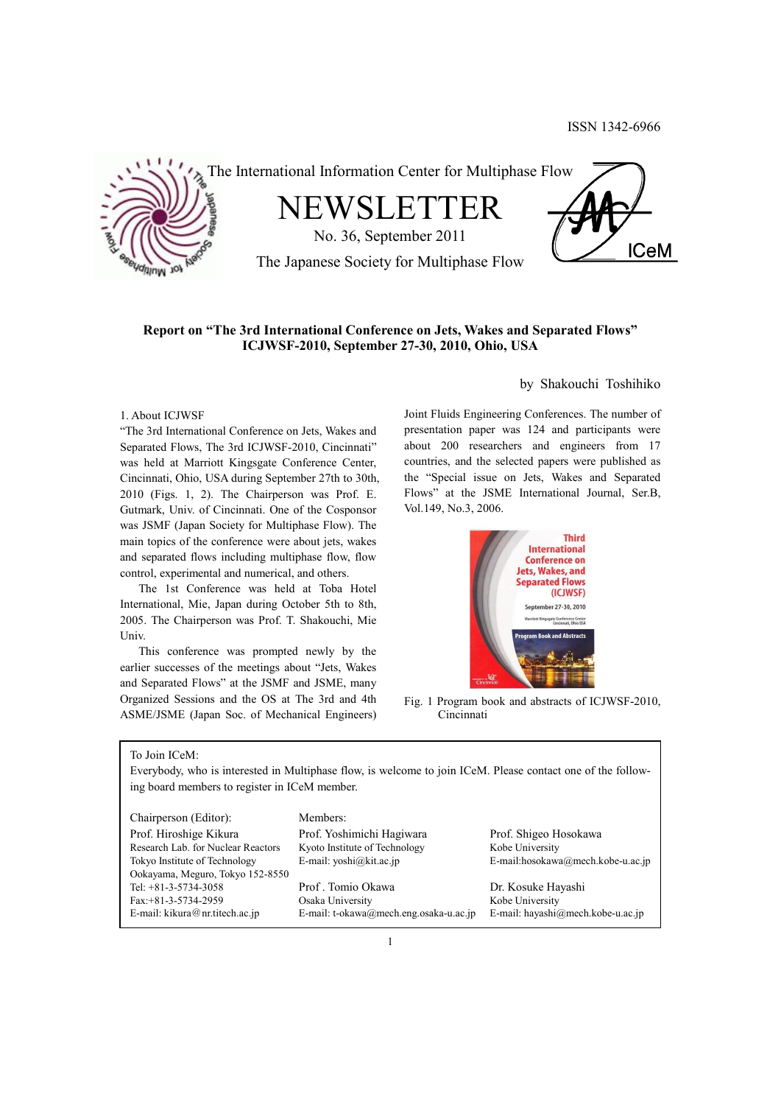

The International Information Center for Multiphase Flow

NEWSLETTER

No. 36, September 2011

**ICeM** 

The Japanese Society for Multiphase Flow

## **Report on "The 3rd International Conference on Jets, Wakes and Separated Flows" ICJWSF-2010, September 27-30, 2010, Ohio, USA**

## 1. About ICJWSF

"The 3rd International Conference on Jets, Wakes and Separated Flows, The 3rd ICJWSF-2010, Cincinnati" was held at Marriott Kingsgate Conference Center, Cincinnati, Ohio, USA during September 27th to 30th, 2010 (Figs. 1, 2). The Chairperson was Prof. E. Gutmark, Univ. of Cincinnati. One of the Cosponsor was JSMF (Japan Society for Multiphase Flow). The main topics of the conference were about jets, wakes and separated flows including multiphase flow, flow control, experimental and numerical, and others.

 The 1st Conference was held at Toba Hotel International, Mie, Japan during October 5th to 8th, 2005. The Chairperson was Prof. T. Shakouchi, Mie Univ.

 This conference was prompted newly by the earlier successes of the meetings about "Jets, Wakes and Separated Flows" at the JSMF and JSME, many Organized Sessions and the OS at The 3rd and 4th ASME/JSME (Japan Soc. of Mechanical Engineers)

## by Shakouchi Toshihiko

Joint Fluids Engineering Conferences. The number of presentation paper was 124 and participants were about 200 researchers and engineers from 17 countries, and the selected papers were published as the "Special issue on Jets, Wakes and Separated Flows" at the JSME International Journal, Ser.B, Vol.149, No.3, 2006.



Fig. 1 Program book and abstracts of ICJWSF-2010, Cincinnati

To Join ICeM:

Everybody, who is interested in Multiphase flow, is welcome to join ICeM. Please contact one of the following board members to register in ICeM member.

Chairperson (Editor): Members: Prof. Hiroshige Kikura Prof. Yoshimichi Hagiwara Prof. Shigeo Hosokawa Research Lab. for Nuclear Reactors Kyoto Institute of Technology Kobe University Ookayama, Meguro, Tokyo 152-8550 Tel: +81-3-5734-3058 Prof . Tomio Okawa Dr. Kosuke Hayashi Fax:+81-3-5734-2959 Osaka University Kobe University

Tokyo Institute of Technology E-mail: yoshi@kit.ac.jp E-mail:hosokawa@mech.kobe-u.ac.jp

E-mail: kikura@nr.titech.ac.jp E-mail: t-okawa@mech.eng.osaka-u.ac.jp E-mail: hayashi@mech.kobe-u.ac.jp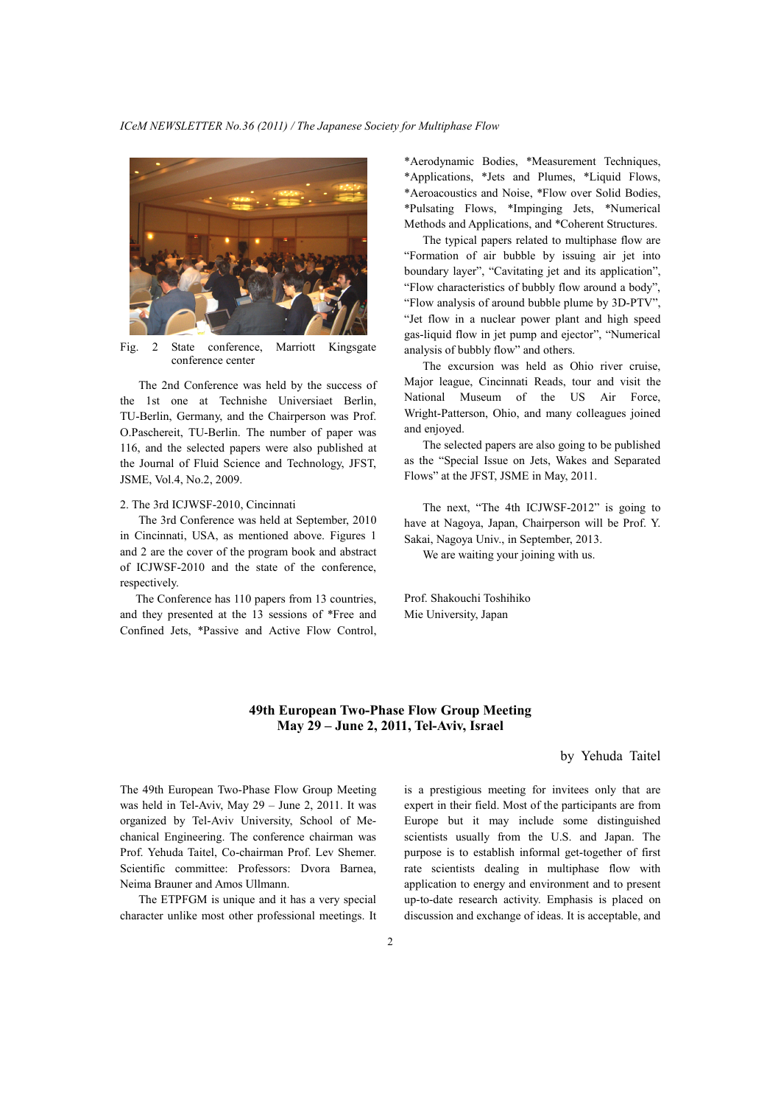

Fig. 2 State conference, Marriott Kingsgate conference center

 The 2nd Conference was held by the success of the 1st one at Technishe Universiaet Berlin, TU-Berlin, Germany, and the Chairperson was Prof. O.Paschereit, TU-Berlin. The number of paper was 116, and the selected papers were also published at the Journal of Fluid Science and Technology, JFST, JSME, Vol.4, No.2, 2009.

#### 2. The 3rd ICJWSF-2010, Cincinnati

 The 3rd Conference was held at September, 2010 in Cincinnati, USA, as mentioned above. Figures 1 and 2 are the cover of the program book and abstract of ICJWSF-2010 and the state of the conference, respectively.

 The Conference has 110 papers from 13 countries, and they presented at the 13 sessions of \*Free and Confined Jets, \*Passive and Active Flow Control,

\*Aerodynamic Bodies, \*Measurement Techniques, \*Applications, \*Jets and Plumes, \*Liquid Flows, \*Aeroacoustics and Noise, \*Flow over Solid Bodies, \*Pulsating Flows, \*Impinging Jets, \*Numerical Methods and Applications, and \*Coherent Structures.

 The typical papers related to multiphase flow are "Formation of air bubble by issuing air jet into boundary layer", "Cavitating jet and its application", "Flow characteristics of bubbly flow around a body", "Flow analysis of around bubble plume by 3D-PTV", "Jet flow in a nuclear power plant and high speed gas-liquid flow in jet pump and ejector", "Numerical analysis of bubbly flow" and others.

 The excursion was held as Ohio river cruise, Major league, Cincinnati Reads, tour and visit the National Museum of the US Air Force, Wright-Patterson, Ohio, and many colleagues joined and enjoyed.

 The selected papers are also going to be published as the "Special Issue on Jets, Wakes and Separated Flows" at the JFST, JSME in May, 2011.

 The next, "The 4th ICJWSF-2012" is going to have at Nagoya, Japan, Chairperson will be Prof. Y. Sakai, Nagoya Univ., in September, 2013.

We are waiting your joining with us.

Prof. Shakouchi Toshihiko Mie University, Japan

## **49th European Two-Phase Flow Group Meeting May 29 – June 2, 2011, Tel-Aviv, Israel**

## by Yehuda Taitel

The 49th European Two-Phase Flow Group Meeting was held in Tel-Aviv, May 29 – June 2, 2011. It was organized by Tel-Aviv University, School of Mechanical Engineering. The conference chairman was Prof. Yehuda Taitel, Co-chairman Prof. Lev Shemer. Scientific committee: Professors: Dvora Barnea, Neima Brauner and Amos Ullmann.

 The ETPFGM is unique and it has a very special character unlike most other professional meetings. It is a prestigious meeting for invitees only that are expert in their field. Most of the participants are from Europe but it may include some distinguished scientists usually from the U.S. and Japan. The purpose is to establish informal get-together of first rate scientists dealing in multiphase flow with application to energy and environment and to present up-to-date research activity. Emphasis is placed on discussion and exchange of ideas. It is acceptable, and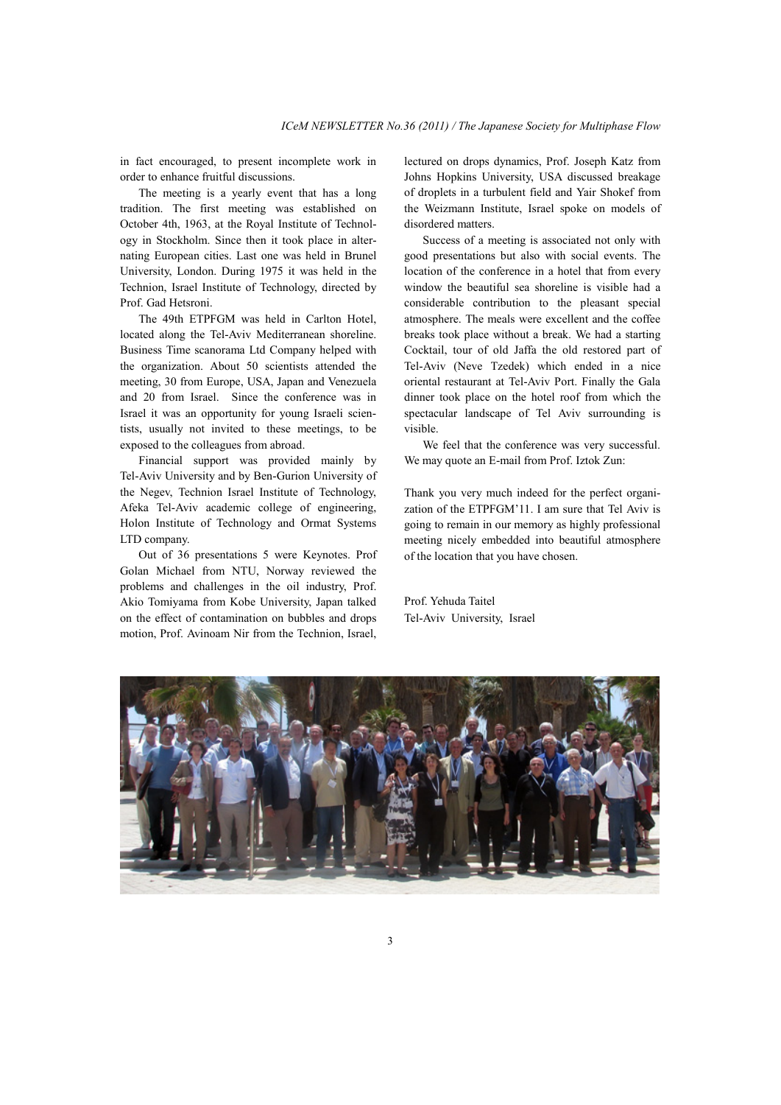in fact encouraged, to present incomplete work in order to enhance fruitful discussions.

 The meeting is a yearly event that has a long tradition. The first meeting was established on October 4th, 1963, at the Royal Institute of Technology in Stockholm. Since then it took place in alternating European cities. Last one was held in Brunel University, London. During 1975 it was held in the Technion, Israel Institute of Technology, directed by Prof. Gad Hetsroni.

 The 49th ETPFGM was held in Carlton Hotel, located along the Tel-Aviv Mediterranean shoreline. Business Time scanorama Ltd Company helped with the organization. About 50 scientists attended the meeting, 30 from Europe, USA, Japan and Venezuela and 20 from Israel. Since the conference was in Israel it was an opportunity for young Israeli scientists, usually not invited to these meetings, to be exposed to the colleagues from abroad.

 Financial support was provided mainly by Tel-Aviv University and by Ben-Gurion University of the Negev, Technion Israel Institute of Technology, Afeka Tel-Aviv academic college of engineering, Holon Institute of Technology and Ormat Systems LTD company.

 Out of 36 presentations 5 were Keynotes. Prof Golan Michael from NTU, Norway reviewed the problems and challenges in the oil industry, Prof. Akio Tomiyama from Kobe University, Japan talked on the effect of contamination on bubbles and drops motion, Prof. Avinoam Nir from the Technion, Israel,

lectured on drops dynamics, Prof. Joseph Katz from Johns Hopkins University, USA discussed breakage of droplets in a turbulent field and Yair Shokef from the Weizmann Institute, Israel spoke on models of disordered matters.

 Success of a meeting is associated not only with good presentations but also with social events. The location of the conference in a hotel that from every window the beautiful sea shoreline is visible had a considerable contribution to the pleasant special atmosphere. The meals were excellent and the coffee breaks took place without a break. We had a starting Cocktail, tour of old Jaffa the old restored part of Tel-Aviv (Neve Tzedek) which ended in a nice oriental restaurant at Tel-Aviv Port. Finally the Gala dinner took place on the hotel roof from which the spectacular landscape of Tel Aviv surrounding is visible.

 We feel that the conference was very successful. We may quote an E-mail from Prof. Iztok Zun:

Thank you very much indeed for the perfect organization of the ETPFGM'11. I am sure that Tel Aviv is going to remain in our memory as highly professional meeting nicely embedded into beautiful atmosphere of the location that you have chosen.

Prof. Yehuda Taitel Tel-Aviv University, Israel

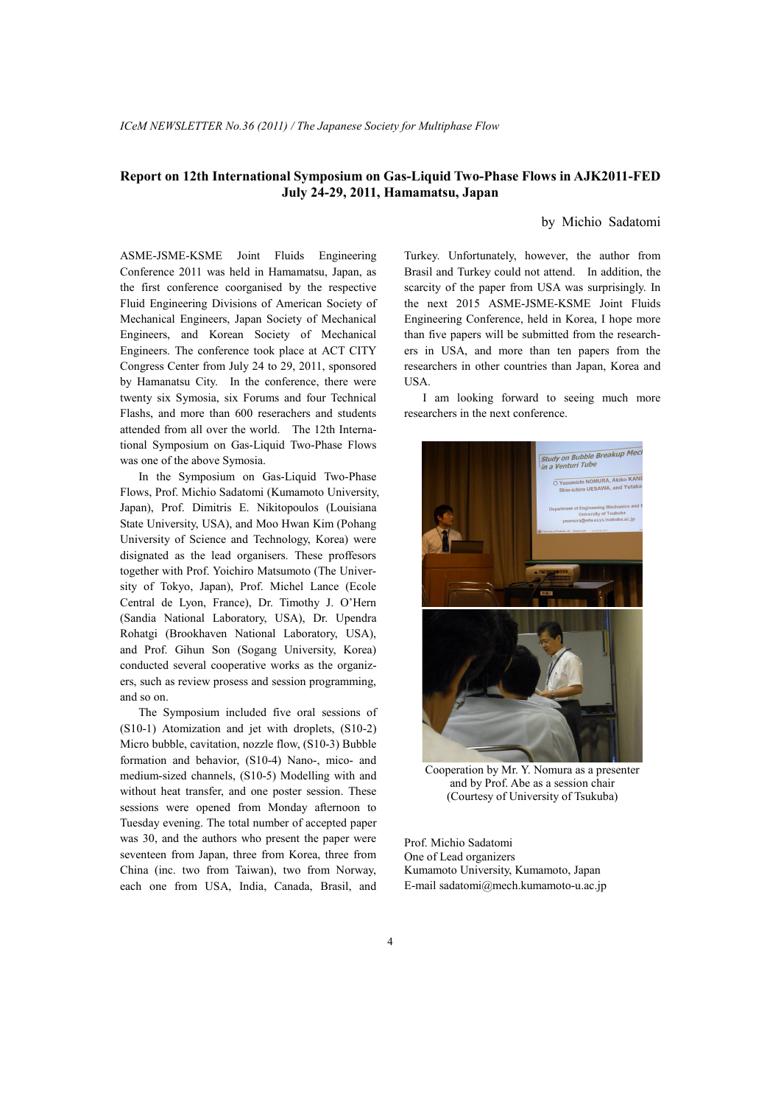## **Report on 12th International Symposium on Gas-Liquid Two-Phase Flows in AJK2011-FED July 24-29, 2011, Hamamatsu, Japan**

## by Michio Sadatomi

ASME-JSME-KSME Joint Fluids Engineering Conference 2011 was held in Hamamatsu, Japan, as the first conference coorganised by the respective Fluid Engineering Divisions of American Society of Mechanical Engineers, Japan Society of Mechanical Engineers, and Korean Society of Mechanical Engineers. The conference took place at ACT CITY Congress Center from July 24 to 29, 2011, sponsored by Hamanatsu City. In the conference, there were twenty six Symosia, six Forums and four Technical Flashs, and more than 600 reserachers and students attended from all over the world. The 12th International Symposium on Gas-Liquid Two-Phase Flows was one of the above Symosia.

 In the Symposium on Gas-Liquid Two-Phase Flows, Prof. Michio Sadatomi (Kumamoto University, Japan), Prof. Dimitris E. Nikitopoulos (Louisiana State University, USA), and Moo Hwan Kim (Pohang University of Science and Technology, Korea) were disignated as the lead organisers. These proffesors together with Prof. Yoichiro Matsumoto (The University of Tokyo, Japan), Prof. Michel Lance (Ecole Central de Lyon, France), Dr. Timothy J. O'Hern (Sandia National Laboratory, USA), Dr. Upendra Rohatgi (Brookhaven National Laboratory, USA), and Prof. Gihun Son (Sogang University, Korea) conducted several cooperative works as the organizers, such as review prosess and session programming, and so on.

 The Symposium included five oral sessions of (S10-1) Atomization and jet with droplets, (S10-2) Micro bubble, cavitation, nozzle flow, (S10-3) Bubble formation and behavior, (S10-4) Nano-, mico- and medium-sized channels, (S10-5) Modelling with and without heat transfer, and one poster session. These sessions were opened from Monday afternoon to Tuesday evening. The total number of accepted paper was 30, and the authors who present the paper were seventeen from Japan, three from Korea, three from China (inc. two from Taiwan), two from Norway, each one from USA, India, Canada, Brasil, and

Turkey. Unfortunately, however, the author from Brasil and Turkey could not attend. In addition, the scarcity of the paper from USA was surprisingly. In the next 2015 ASME-JSME-KSME Joint Fluids Engineering Conference, held in Korea, I hope more than five papers will be submitted from the researchers in USA, and more than ten papers from the researchers in other countries than Japan, Korea and USA.

 I am looking forward to seeing much more researchers in the next conference.



Cooperation by Mr. Y. Nomura as a presenter and by Prof. Abe as a session chair (Courtesy of University of Tsukuba)

Prof. Michio Sadatomi One of Lead organizers Kumamoto University, Kumamoto, Japan E-mail sadatomi@mech.kumamoto-u.ac.jp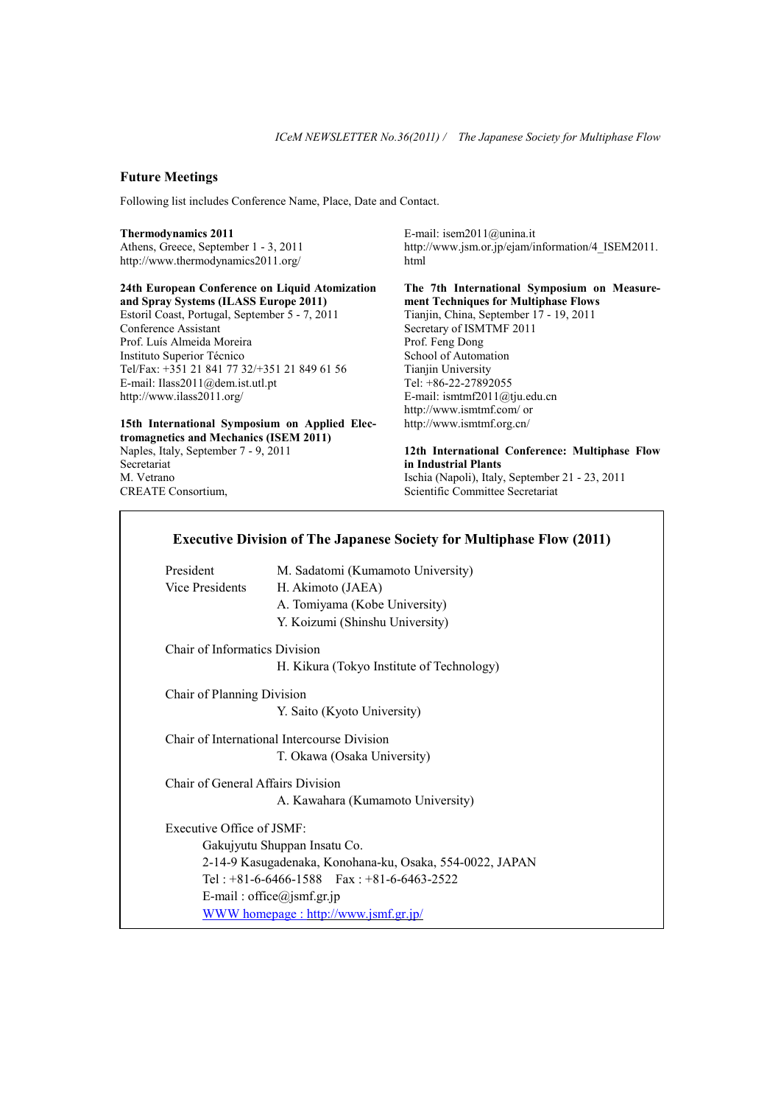## **Future Meetings**

Following list includes Conference Name, Place, Date and Contact.

#### **Thermodynamics 2011**

Athens, Greece, September 1 - 3, 2011 http://www.thermodynamics2011.org/

**24th European Conference on Liquid Atomization and Spray Systems (ILASS Europe 2011)**  Estoril Coast, Portugal, September 5 - 7, 2011 Conference Assistant Prof. Luís Almeida Moreira Instituto Superior Técnico Tel/Fax: +351 21 841 77 32/+351 21 849 61 56 E-mail: Ilass2011@dem.ist.utl.pt http://www.ilass2011.org/

## **15th International Symposium on Applied Electromagnetics and Mechanics (ISEM 2011)**

Naples, Italy, September 7 - 9, 2011 **Secretariat** M. Vetrano CREATE Consortium,

E-mail: isem2011@unina.it http://www.jsm.or.jp/ejam/information/4\_ISEM2011. html

**The 7th International Symposium on Measurement Techniques for Multiphase Flows**  Tianjin, China, September 17 - 19, 2011 Secretary of ISMTMF 2011 Prof. Feng Dong School of Automation Tianjin University Tel: +86-22-27892055 E-mail: ismtmf2011@tju.edu.cn http://www.ismtmf.com/ or http://www.ismtmf.org.cn/

**12th International Conference: Multiphase Flow in Industrial Plants**  Ischia (Napoli), Italy, September 21 - 23, 2011 Scientific Committee Secretariat

# **Executive Division of The Japanese Society for Multiphase Flow (2011)**

| President                                   | M. Sadatomi (Kumamoto University)         |
|---------------------------------------------|-------------------------------------------|
| Vice Presidents                             | H. Akimoto (JAEA)                         |
|                                             | A. Tomiyama (Kobe University)             |
|                                             | Y. Koizumi (Shinshu University)           |
| <b>Chair of Informatics Division</b>        |                                           |
|                                             | H. Kikura (Tokyo Institute of Technology) |
| Chair of Planning Division                  |                                           |
|                                             | Y. Saito (Kyoto University)               |
| Chair of International Intercourse Division |                                           |

T. Okawa (Osaka University)

Chair of General Affairs Division A. Kawahara (Kumamoto University)

Executive Office of JSMF: Gakujyutu Shuppan Insatu Co. 2-14-9 Kasugadenaka, Konohana-ku, Osaka, 554-0022, JAPAN Tel : +81-6-6466-1588 Fax : +81-6-6463-2522 E-mail : office@jsmf.gr.jp WWW homepage : http://www.jsmf.gr.jp/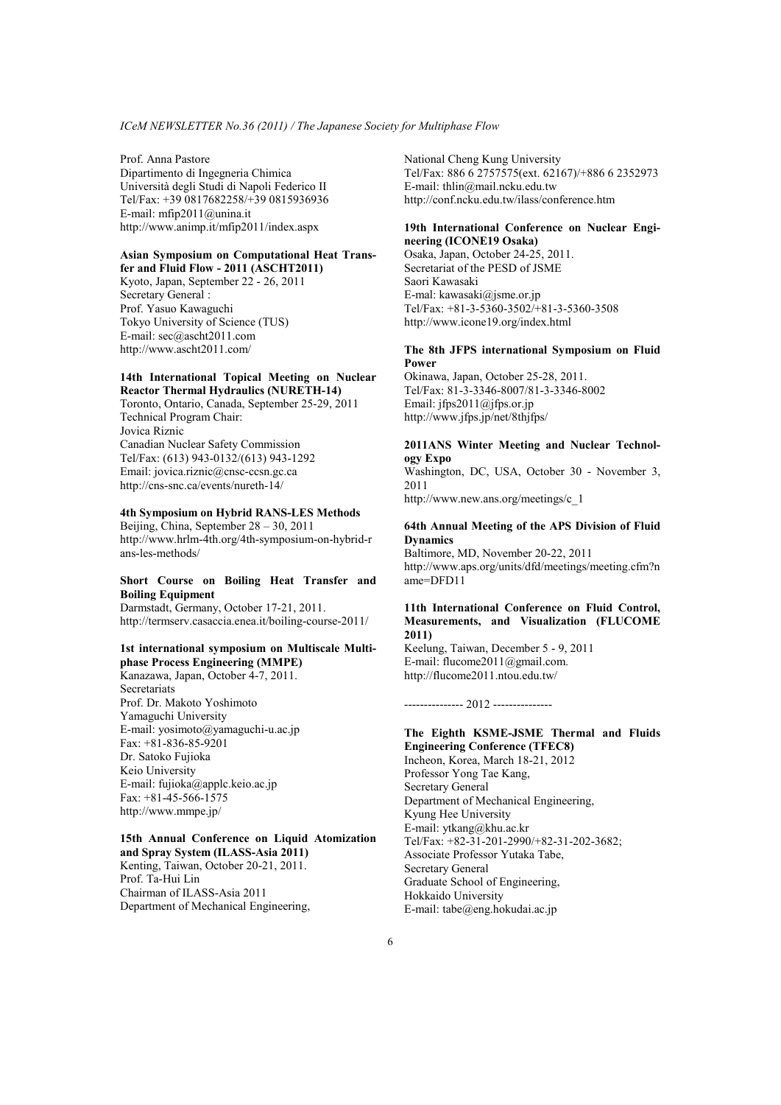Prof. Anna Pastore Dipartimento di Ingegneria Chimica Università degli Studi di Napoli Federico II Tel/Fax: +39 0817682258/+39 0815936936 E-mail: mfip2011@unina.it http://www.animp.it/mfip2011/index.aspx

#### **Asian Symposium on Computational Heat Transfer and Fluid Flow - 2011 (ASCHT2011)**

Kyoto, Japan, September 22 - 26, 2011 Secretary General : Prof. Yasuo Kawaguchi Tokyo University of Science (TUS) E-mail: sec@ascht2011.com http://www.ascht2011.com/

#### **14th International Topical Meeting on Nuclear Reactor Thermal Hydraulics (NURETH-14)**

Toronto, Ontario, Canada, September 25-29, 2011 Technical Program Chair: Jovica Riznic Canadian Nuclear Safety Commission Tel/Fax: (613) 943-0132/(613) 943-1292 Email: jovica.riznic@cnsc-ccsn.gc.ca http://cns-snc.ca/events/nureth-14/

## **4th Symposium on Hybrid RANS-LES Methods**

Beijing, China, September 28 – 30, 2011 http://www.hrlm-4th.org/4th-symposium-on-hybrid-r ans-les-methods/

## **Short Course on Boiling Heat Transfer and Boiling Equipment**

Darmstadt, Germany, October 17-21, 2011. http://termserv.casaccia.enea.it/boiling-course-2011/

#### **1st international symposium on Multiscale Multiphase Process Engineering (MMPE)**

Kanazawa, Japan, October 4-7, 2011. **Secretariats** Prof. Dr. Makoto Yoshimoto Yamaguchi University E-mail: yosimoto@yamaguchi-u.ac.jp Fax: +81-836-85-9201 Dr. Satoko Fujioka Keio University E-mail: fujioka@applc.keio.ac.jp Fax: +81-45-566-1575 http://www.mmpe.jp/

#### **15th Annual Conference on Liquid Atomization and Spray System (ILASS-Asia 2011)**  Kenting, Taiwan, October 20-21, 2011.

Prof. Ta-Hui Lin Chairman of ILASS-Asia 2011 Department of Mechanical Engineering, National Cheng Kung University Tel/Fax: 886 6 2757575(ext. 62167)/+886 6 2352973 E-mail: thlin@mail.ncku.edu.tw http://conf.ncku.edu.tw/ilass/conference.htm

#### **19th International Conference on Nuclear Engineering (ICONE19 Osaka)**

Osaka, Japan, October 24-25, 2011. Secretariat of the PESD of JSME Saori Kawasaki E-mal: kawasaki@jsme.or.jp Tel/Fax: +81-3-5360-3502/+81-3-5360-3508 http://www.icone19.org/index.html

## **The 8th JFPS international Symposium on Fluid Power**

Okinawa, Japan, October 25-28, 2011. Tel/Fax: 81-3-3346-8007/81-3-3346-8002 Email: jfps2011@jfps.or.jp http://www.jfps.jp/net/8thjfps/

## **2011ANS Winter Meeting and Nuclear Technology Expo**

Washington, DC, USA, October 30 - November 3, 2011 http://www.new.ans.org/meetings/c\_1

#### **64th Annual Meeting of the APS Division of Fluid Dynamics**

Baltimore, MD, November 20-22, 2011 http://www.aps.org/units/dfd/meetings/meeting.cfm?n  $ame=DFD11$ 

### **11th International Conference on Fluid Control, Measurements, and Visualization (FLUCOME 2011)**

Keelung, Taiwan, December 5 - 9, 2011 E-mail: flucome2011@gmail.com. http://flucome2011.ntou.edu.tw/

--------------- 2012 ---------------

### **The Eighth KSME-JSME Thermal and Fluids Engineering Conference (TFEC8)** Incheon, Korea, March 18-21, 2012

Professor Yong Tae Kang, Secretary General Department of Mechanical Engineering, Kyung Hee University E-mail: ytkang@khu.ac.kr Tel/Fax: +82-31-201-2990/+82-31-202-3682; Associate Professor Yutaka Tabe, Secretary General Graduate School of Engineering, Hokkaido University E-mail: tabe@eng.hokudai.ac.jp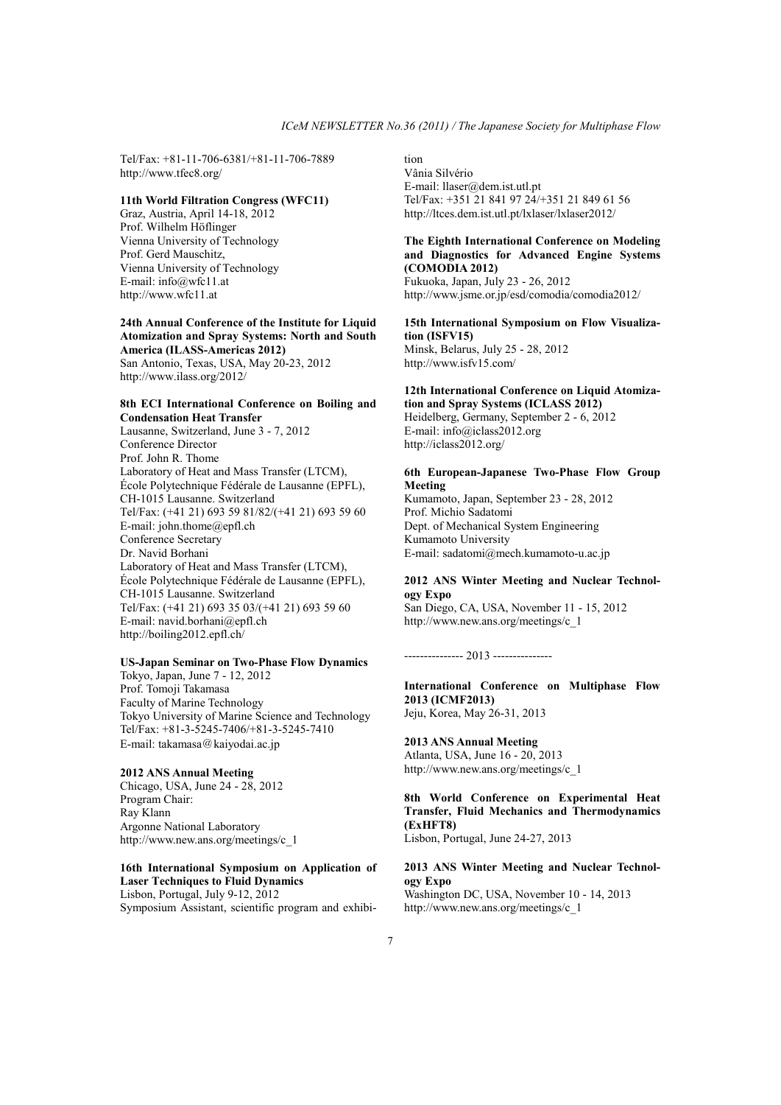Tel/Fax: +81-11-706-6381/+81-11-706-7889 http://www.tfec8.org/

#### **11th World Filtration Congress (WFC11)**

Graz, Austria, April 14-18, 2012 Prof. Wilhelm Höflinger Vienna University of Technology Prof. Gerd Mauschitz, Vienna University of Technology E-mail: info@wfc11.at http://www.wfc11.at

#### **24th Annual Conference of the Institute for Liquid Atomization and Spray Systems: North and South America (ILASS-Americas 2012)**

San Antonio, Texas, USA, May 20-23, 2012 http://www.ilass.org/2012/

## **8th ECI International Conference on Boiling and Condensation Heat Transfer**

Lausanne, Switzerland, June 3 - 7, 2012 Conference Director Prof. John R. Thome Laboratory of Heat and Mass Transfer (LTCM), École Polytechnique Fédérale de Lausanne (EPFL), CH-1015 Lausanne. Switzerland Tel/Fax: (+41 21) 693 59 81/82/(+41 21) 693 59 60 E-mail: john.thome@epfl.ch Conference Secretary Dr. Navid Borhani Laboratory of Heat and Mass Transfer (LTCM), École Polytechnique Fédérale de Lausanne (EPFL), CH-1015 Lausanne. Switzerland Tel/Fax: (+41 21) 693 35 03/(+41 21) 693 59 60 E-mail: navid.borhani@epfl.ch http://boiling2012.epfl.ch/

#### **US-Japan Seminar on Two-Phase Flow Dynamics**

Tokyo, Japan, June 7 - 12, 2012 Prof. Tomoji Takamasa Faculty of Marine Technology Tokyo University of Marine Science and Technology Tel/Fax: +81-3-5245-7406/+81-3-5245-7410 E-mail: takamasa@kaiyodai.ac.jp

## **2012 ANS Annual Meeting**

Chicago, USA, June 24 - 28, 2012 Program Chair: Ray Klann Argonne National Laboratory http://www.new.ans.org/meetings/c\_1

#### **16th International Symposium on Application of Laser Techniques to Fluid Dynamics** Lisbon, Portugal, July 9-12, 2012

Symposium Assistant, scientific program and exhibi-

tion Vânia Silvério E-mail: llaser@dem.ist.utl.pt Tel/Fax: +351 21 841 97 24/+351 21 849 61 56 http://ltces.dem.ist.utl.pt/lxlaser/lxlaser2012/

### **The Eighth International Conference on Modeling and Diagnostics for Advanced Engine Systems (COMODIA 2012)**

Fukuoka, Japan, July 23 - 26, 2012 http://www.jsme.or.jp/esd/comodia/comodia2012/

### **15th International Symposium on Flow Visualization (ISFV15)**

Minsk, Belarus, July 25 - 28, 2012 http://www.isfv15.com/

## **12th International Conference on Liquid Atomization and Spray Systems (ICLASS 2012)**

Heidelberg, Germany, September 2 - 6, 2012 E-mail: info@iclass2012.org http://iclass2012.org/

#### **6th European-Japanese Two-Phase Flow Group Meeting**

Kumamoto, Japan, September 23 - 28, 2012 Prof. Michio Sadatomi Dept. of Mechanical System Engineering Kumamoto University E-mail: sadatomi@mech.kumamoto-u.ac.jp

#### **2012 ANS Winter Meeting and Nuclear Technology Expo**

San Diego, CA, USA, November 11 - 15, 2012 http://www.new.ans.org/meetings/c\_1

--------------- 2013 ---------------

#### **International Conference on Multiphase Flow 2013 (ICMF2013)** Jeju, Korea, May 26-31, 2013

**2013 ANS Annual Meeting**  Atlanta, USA, June 16 - 20, 2013 http://www.new.ans.org/meetings/c\_1

## **8th World Conference on Experimental Heat Transfer, Fluid Mechanics and Thermodynamics (ExHFT8)**

Lisbon, Portugal, June 24-27, 2013

### **2013 ANS Winter Meeting and Nuclear Technology Expo**

Washington DC, USA, November 10 - 14, 2013 http://www.new.ans.org/meetings/c\_1